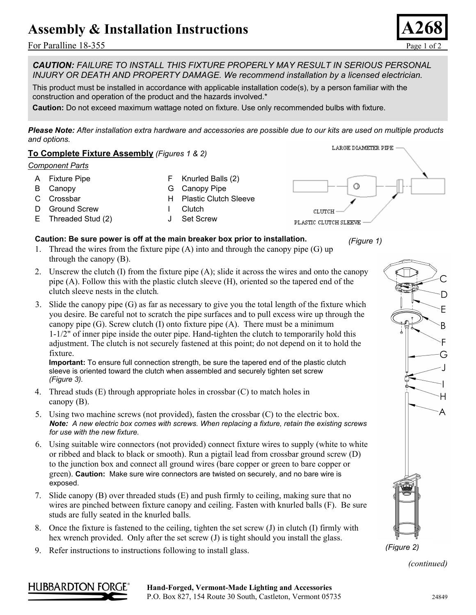## Assembly & Installation Instructions

For Paralline 18-355 Page 1 of 2

*CAUTION: FAILURE TO INSTALL THIS FIXTURE PROPERLY MAY RESULT IN SERIOUS PERSONAL INJURY OR DEATH AND PROPERTY DAMAGE. We recommend installation by a licensed electrician.*

This product must be installed in accordance with applicable installation code(s), by a person familiar with the construction and operation of the product and the hazards involved.\*

**Caution:** Do not exceed maximum wattage noted on fixture. Use only recommended bulbs with fixture.

*Please Note: After installation extra hardware and accessories are possible due to our kits are used on multiple products and options.* 



- 1. Thread the wires from the fixture pipe (A) into and through the canopy pipe (G) up through the canopy (B).
- 2. Unscrew the clutch (I) from the fixture pipe (A); slide it across the wires and onto the canopy pipe (A). Follow this with the plastic clutch sleeve (H), oriented so the tapered end of the clutch sleeve nests in the clutch*.*
- 3. Slide the canopy pipe (G) as far as necessary to give you the total length of the fixture which you desire. Be careful not to scratch the pipe surfaces and to pull excess wire up through the canopy pipe  $(G)$ . Screw clutch  $(I)$  onto fixture pipe  $(A)$ . There must be a minimum 1-1/2" of inner pipe inside the outer pipe. Hand-tighten the clutch to temporarily hold this adjustment. The clutch is not securely fastened at this point; do not depend on it to hold the fixture.

**Important:** To ensure full connection strength, be sure the tapered end of the plastic clutch sleeve is oriented toward the clutch when assembled and securely tighten set screw *(Figure 3).*

- 4. Thread studs (E) through appropriate holes in crossbar (C) to match holes in canopy (B).
- 5. Using two machine screws (not provided), fasten the crossbar (C) to the electric box. *Note: A new electric box comes with screws. When replacing a fixture, retain the existing screws for use with the new fixture.*
- 6. Using suitable wire connectors (not provided) connect fixture wires to supply (white to white or ribbed and black to black or smooth). Run a pigtail lead from crossbar ground screw (D) to the junction box and connect all ground wires (bare copper or green to bare copper or green). **Caution:** Make sure wire connectors are twisted on securely, and no bare wire is exposed.
- 7. Slide canopy (B) over threaded studs (E) and push firmly to ceiling, making sure that no wires are pinched between fixture canopy and ceiling. Fasten with knurled balls (F). Be sure studs are fully seated in the knurled balls.
- 8. Once the fixture is fastened to the ceiling, tighten the set screw  $(J)$  in clutch  $(I)$  firmly with hex wrench provided. Only after the set screw (J) is tight should you install the glass.
- 9. Refer instructions to instructions following to install glass.



*(continued)*